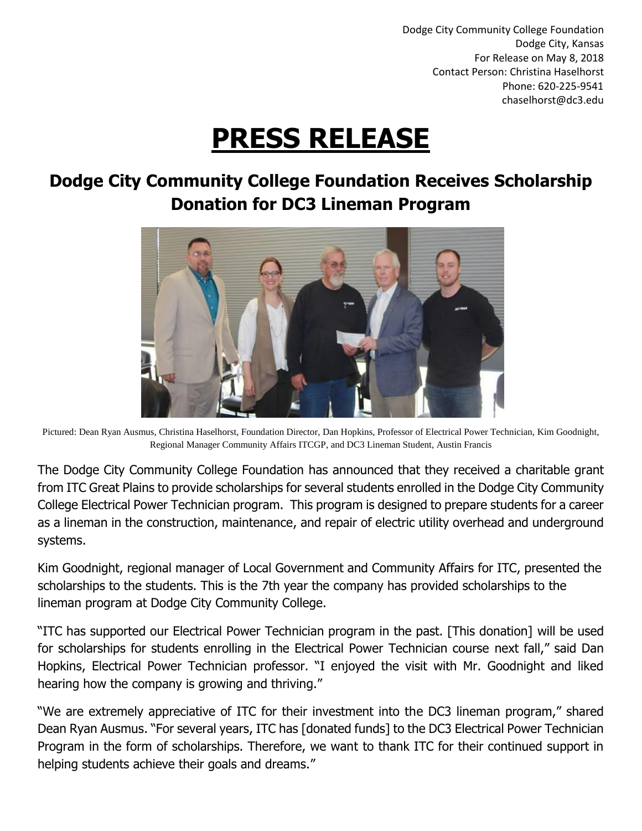Dodge City Community College Foundation Dodge City, Kansas For Release on May 8, 2018 Contact Person: Christina Haselhorst Phone: 620-225-9541 chaselhorst@dc3.edu

# **PRESS RELEASE**

# **Dodge City Community College Foundation Receives Scholarship Donation for DC3 Lineman Program**



Pictured: Dean Ryan Ausmus, Christina Haselhorst, Foundation Director, Dan Hopkins, Professor of Electrical Power Technician, Kim Goodnight, Regional Manager Community Affairs ITCGP, and DC3 Lineman Student, Austin Francis

The Dodge City Community College Foundation has announced that they received a charitable grant from ITC Great Plains to provide scholarships for several students enrolled in the Dodge City Community College Electrical Power Technician program. This program is designed to prepare students for a career as a lineman in the construction, maintenance, and repair of electric utility overhead and underground systems.

Kim Goodnight, regional manager of Local Government and Community Affairs for ITC, presented the scholarships to the students. This is the 7th year the company has provided scholarships to the lineman program at Dodge City Community College.

"ITC has supported our Electrical Power Technician program in the past. [This donation] will be used for scholarships for students enrolling in the Electrical Power Technician course next fall," said Dan Hopkins, Electrical Power Technician professor. "I enjoyed the visit with Mr. Goodnight and liked hearing how the company is growing and thriving."

"We are extremely appreciative of ITC for their investment into the DC3 lineman program," shared Dean Ryan Ausmus. "For several years, ITC has [donated funds] to the DC3 Electrical Power Technician Program in the form of scholarships. Therefore, we want to thank ITC for their continued support in helping students achieve their goals and dreams."